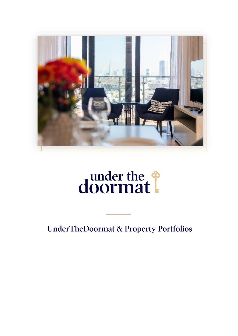

# doormat!

**UnderTheDoormat & Property Portfolios**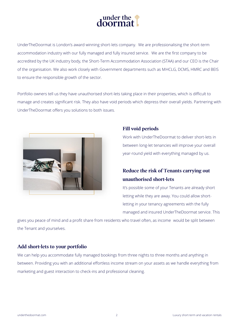

UnderTheDoormat is London's award winning short-lets company. We are professionalising the short-term accommodation industry with our fully managed and fully insured service. We are the first company to be accredited by the UK industry body, the Short-Term Accommodation Association (STAA) and our CEO is the Chair of the organisation. We also work closely with Government departments such as MHCLG, DCMS, HMRC and BEIS to ensure the responsible growth of the sector.

Portfolio owners tell us they have unauthorised short-lets taking place in their properties, which is difficult to manage and creates significant risk. They also have void periods which depress their overall yields. Partnering with UnderTheDoormat offers you solutions to both issues.



### **Fill void periods**

Work with UnderTheDoormat to deliver short-lets in between long-let tenancies will improve your overall year-round yield with everything managed by us.

# Reduce the risk of Tenants carrying out unauthorised short-lets

It's possible some of your Tenants are already short letting while they are away. You could allow shortletting in your tenancy agreements with the fully managed and insured UnderTheDoormat service. This

gives you peace of mind and a profit share from residents who travel often, as income would be split between the Tenant and yourselves.

## Add short-lets to your portfolio

We can help you accommodate fully managed bookings from three nights to three months and anything in between. Providing you with an additional effortless income stream on your assets as we handle everything from marketing and guest interaction to check-ins and professional cleaning.